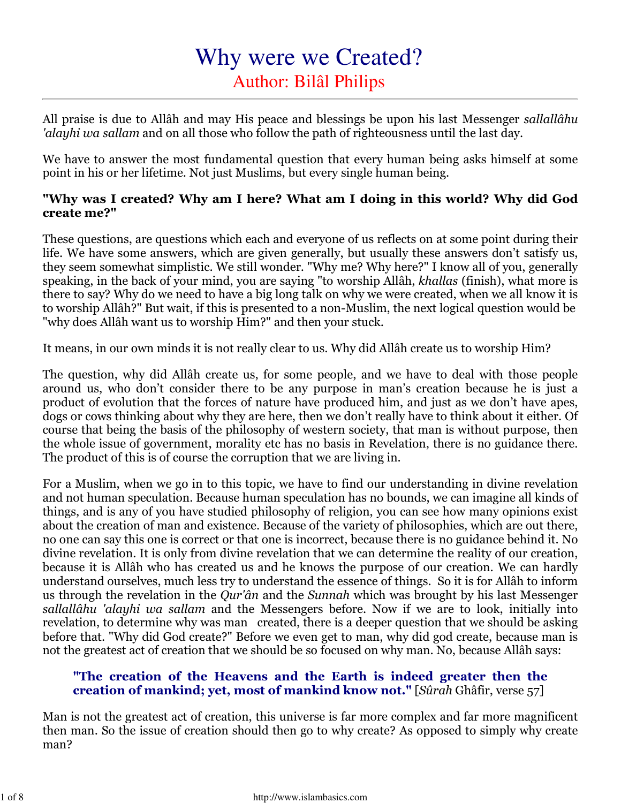# Why were we Created? Author: Bilâl Philips

All praise is due to Allâh and may His peace and blessings be upon his last Messenger sallallâhu 'alayhi wa sallam and on all those who follow the path of righteousness until the last day.

We have to answer the most fundamental question that every human being asks himself at some point in his or her lifetime. Not just Muslims, but every single human being.

#### "Why was I created? Why am I here? What am I doing in this world? Why did God create me?"

These questions, are questions which each and everyone of us reflects on at some point during their life. We have some answers, which are given generally, but usually these answers don't satisfy us, they seem somewhat simplistic. We still wonder. "Why me? Why here?" I know all of you, generally speaking, in the back of your mind, you are saying "to worship Allâh, khallas (finish), what more is there to say? Why do we need to have a big long talk on why we were created, when we all know it is to worship Allâh?" But wait, if this is presented to a non-Muslim, the next logical question would be "why does Allâh want us to worship Him?" and then your stuck.

It means, in our own minds it is not really clear to us. Why did Allâh create us to worship Him?

The question, why did Allâh create us, for some people, and we have to deal with those people around us, who don't consider there to be any purpose in man's creation because he is just a product of evolution that the forces of nature have produced him, and just as we don't have apes, dogs or cows thinking about why they are here, then we don't really have to think about it either. Of course that being the basis of the philosophy of western society, that man is without purpose, then the whole issue of government, morality etc has no basis in Revelation, there is no guidance there. The product of this is of course the corruption that we are living in.

For a Muslim, when we go in to this topic, we have to find our understanding in divine revelation and not human speculation. Because human speculation has no bounds, we can imagine all kinds of things, and is any of you have studied philosophy of religion, you can see how many opinions exist about the creation of man and existence. Because of the variety of philosophies, which are out there, no one can say this one is correct or that one is incorrect, because there is no guidance behind it. No divine revelation. It is only from divine revelation that we can determine the reality of our creation, because it is Allâh who has created us and he knows the purpose of our creation. We can hardly understand ourselves, much less try to understand the essence of things. So it is for Allâh to inform us through the revelation in the Qur'ân and the Sunnah which was brought by his last Messenger sallallâhu 'alayhi wa sallam and the Messengers before. Now if we are to look, initially into revelation, to determine why was man created, there is a deeper question that we should be asking before that. "Why did God create?" Before we even get to man, why did god create, because man is not the greatest act of creation that we should be so focused on why man. No, because Allâh says:

#### "The creation of the Heavens and the Earth is indeed greater then the creation of mankind; yet, most of mankind know not." [Sûrah Ghâfir, verse 57]

Man is not the greatest act of creation, this universe is far more complex and far more magnificent then man. So the issue of creation should then go to why create? As opposed to simply why create man?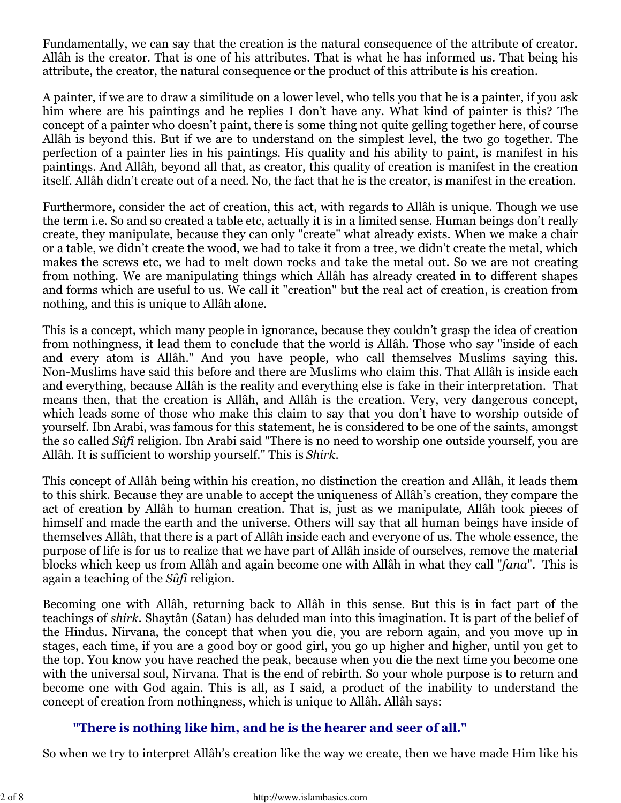Fundamentally, we can say that the creation is the natural consequence of the attribute of creator. Allâh is the creator. That is one of his attributes. That is what he has informed us. That being his attribute, the creator, the natural consequence or the product of this attribute is his creation.

A painter, if we are to draw a similitude on a lower level, who tells you that he is a painter, if you ask him where are his paintings and he replies I don't have any. What kind of painter is this? The concept of a painter who doesn't paint, there is some thing not quite gelling together here, of course Allâh is beyond this. But if we are to understand on the simplest level, the two go together. The perfection of a painter lies in his paintings. His quality and his ability to paint, is manifest in his paintings. And Allâh, beyond all that, as creator, this quality of creation is manifest in the creation itself. Allâh didn't create out of a need. No, the fact that he is the creator, is manifest in the creation.

Furthermore, consider the act of creation, this act, with regards to Allâh is unique. Though we use the term i.e. So and so created a table etc, actually it is in a limited sense. Human beings don't really create, they manipulate, because they can only "create" what already exists. When we make a chair or a table, we didn't create the wood, we had to take it from a tree, we didn't create the metal, which makes the screws etc, we had to melt down rocks and take the metal out. So we are not creating from nothing. We are manipulating things which Allâh has already created in to different shapes and forms which are useful to us. We call it "creation" but the real act of creation, is creation from nothing, and this is unique to Allâh alone.

This is a concept, which many people in ignorance, because they couldn't grasp the idea of creation from nothingness, it lead them to conclude that the world is Allâh. Those who say "inside of each and every atom is Allâh." And you have people, who call themselves Muslims saying this. Non-Muslims have said this before and there are Muslims who claim this. That Allâh is inside each and everything, because Allâh is the reality and everything else is fake in their interpretation. That means then, that the creation is Allâh, and Allâh is the creation. Very, very dangerous concept, which leads some of those who make this claim to say that you don't have to worship outside of yourself. Ibn Arabi, was famous for this statement, he is considered to be one of the saints, amongst the so called Sûfî religion. Ibn Arabi said "There is no need to worship one outside yourself, you are Allâh. It is sufficient to worship yourself." This is Shirk.

This concept of Allâh being within his creation, no distinction the creation and Allâh, it leads them to this shirk. Because they are unable to accept the uniqueness of Allâh's creation, they compare the act of creation by Allâh to human creation. That is, just as we manipulate, Allâh took pieces of himself and made the earth and the universe. Others will say that all human beings have inside of themselves Allâh, that there is a part of Allâh inside each and everyone of us. The whole essence, the purpose of life is for us to realize that we have part of Allâh inside of ourselves, remove the material blocks which keep us from Allâh and again become one with Allâh in what they call "fana". This is again a teaching of the Sûfî religion.

Becoming one with Allâh, returning back to Allâh in this sense. But this is in fact part of the teachings of shirk. Shaytân (Satan) has deluded man into this imagination. It is part of the belief of the Hindus. Nirvana, the concept that when you die, you are reborn again, and you move up in stages, each time, if you are a good boy or good girl, you go up higher and higher, until you get to the top. You know you have reached the peak, because when you die the next time you become one with the universal soul, Nirvana. That is the end of rebirth. So your whole purpose is to return and become one with God again. This is all, as I said, a product of the inability to understand the concept of creation from nothingness, which is unique to Allâh. Allâh says:

# "There is nothing like him, and he is the hearer and seer of all."

So when we try to interpret Allâh's creation like the way we create, then we have made Him like his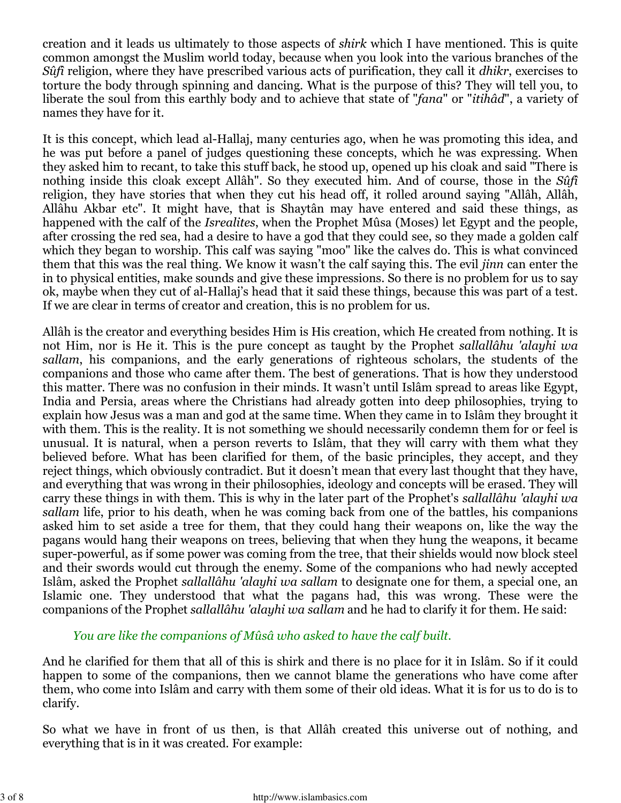creation and it leads us ultimately to those aspects of shirk which I have mentioned. This is quite common amongst the Muslim world today, because when you look into the various branches of the Suff religion, where they have prescribed various acts of purification, they call it *dhikr*, exercises to torture the body through spinning and dancing. What is the purpose of this? They will tell you, to liberate the soul from this earthly body and to achieve that state of "fana" or "itihâd", a variety of names they have for it.

It is this concept, which lead al-Hallaj, many centuries ago, when he was promoting this idea, and he was put before a panel of judges questioning these concepts, which he was expressing. When they asked him to recant, to take this stuff back, he stood up, opened up his cloak and said "There is nothing inside this cloak except Allâh". So they executed him. And of course, those in the Sûfî religion, they have stories that when they cut his head off, it rolled around saying "Allâh, Allâh, Allâhu Akbar etc". It might have, that is Shaytân may have entered and said these things, as happened with the calf of the Isrealites, when the Prophet Mûsa (Moses) let Egypt and the people, after crossing the red sea, had a desire to have a god that they could see, so they made a golden calf which they began to worship. This calf was saying "moo" like the calves do. This is what convinced them that this was the real thing. We know it wasn't the calf saying this. The evil jinn can enter the in to physical entities, make sounds and give these impressions. So there is no problem for us to say ok, maybe when they cut of al-Hallaj's head that it said these things, because this was part of a test. If we are clear in terms of creator and creation, this is no problem for us.

Allâh is the creator and everything besides Him is His creation, which He created from nothing. It is not Him, nor is He it. This is the pure concept as taught by the Prophet sallallâhu 'alayhi wa sallam, his companions, and the early generations of righteous scholars, the students of the companions and those who came after them. The best of generations. That is how they understood this matter. There was no confusion in their minds. It wasn't until Islâm spread to areas like Egypt, India and Persia, areas where the Christians had already gotten into deep philosophies, trying to explain how Jesus was a man and god at the same time. When they came in to Islâm they brought it with them. This is the reality. It is not something we should necessarily condemn them for or feel is unusual. It is natural, when a person reverts to Islâm, that they will carry with them what they believed before. What has been clarified for them, of the basic principles, they accept, and they reject things, which obviously contradict. But it doesn't mean that every last thought that they have, and everything that was wrong in their philosophies, ideology and concepts will be erased. They will carry these things in with them. This is why in the later part of the Prophet's sallallâhu 'alayhi wa sallam life, prior to his death, when he was coming back from one of the battles, his companions asked him to set aside a tree for them, that they could hang their weapons on, like the way the pagans would hang their weapons on trees, believing that when they hung the weapons, it became super-powerful, as if some power was coming from the tree, that their shields would now block steel and their swords would cut through the enemy. Some of the companions who had newly accepted Islâm, asked the Prophet sallallâhu 'alayhi wa sallam to designate one for them, a special one, an Islamic one. They understood that what the pagans had, this was wrong. These were the companions of the Prophet sallallâhu 'alayhi wa sallam and he had to clarify it for them. He said:

You are like the companions of Mûsâ who asked to have the calf built.

And he clarified for them that all of this is shirk and there is no place for it in Islâm. So if it could happen to some of the companions, then we cannot blame the generations who have come after them, who come into Islâm and carry with them some of their old ideas. What it is for us to do is to clarify.

So what we have in front of us then, is that Allâh created this universe out of nothing, and everything that is in it was created. For example: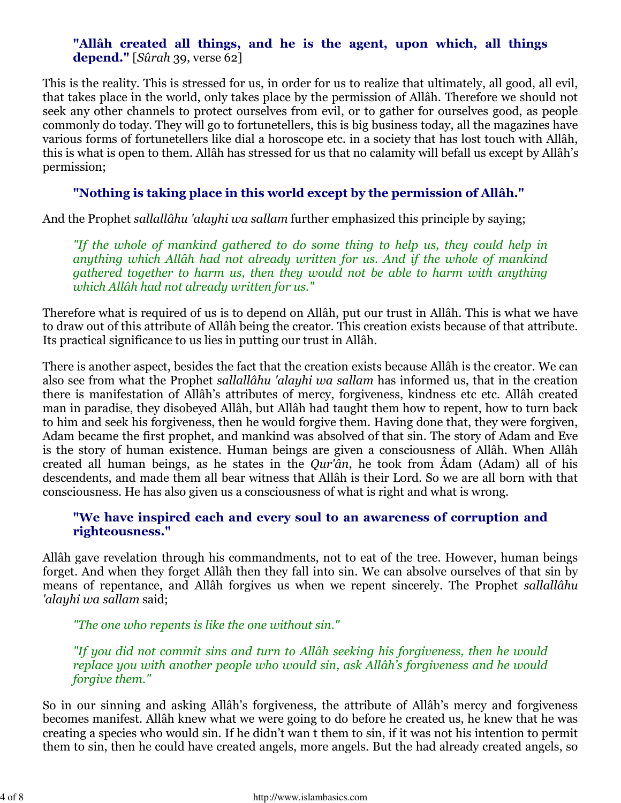# "Allâh created all things, and he is the agent, upon which, all things depend." [Sûrah 39, verse 62]

This is the reality. This is stressed for us, in order for us to realize that ultimately, all good, all evil, that takes place in the world, only takes place by the permission of Allâh. Therefore we should not seek any other channels to protect ourselves from evil, or to gather for ourselves good, as people commonly do today. They will go to fortunetellers, this is big business today, all the magazines have various forms of fortunetellers like dial a horoscope etc. in a society that has lost touch with Allâh, this is what is open to them. Allâh has stressed for us that no calamity will befall us except by Allâh's permission;

# "Nothing is taking place in this world except by the permission of Allâh."

And the Prophet sallallâhu 'alayhi wa sallam further emphasized this principle by saying;

"If the whole of mankind gathered to do some thing to help us, they could help in anything which Allâh had not already written for us. And if the whole of mankind gathered together to harm us, then they would not be able to harm with anything which Allâh had not already written for us."

Therefore what is required of us is to depend on Allâh, put our trust in Allâh. This is what we have to draw out of this attribute of Allâh being the creator. This creation exists because of that attribute. Its practical significance to us lies in putting our trust in Allâh.

There is another aspect, besides the fact that the creation exists because Allâh is the creator. We can also see from what the Prophet sallallâhu 'alayhi wa sallam has informed us, that in the creation there is manifestation of Allâh's attributes of mercy, forgiveness, kindness etc etc. Allâh created man in paradise, they disobeyed Allâh, but Allâh had taught them how to repent, how to turn back to him and seek his forgiveness, then he would forgive them. Having done that, they were forgiven, Adam became the first prophet, and mankind was absolved of that sin. The story of Adam and Eve is the story of human existence. Human beings are given a consciousness of Allâh. When Allâh created all human beings, as he states in the Qur'ân, he took from Âdam (Adam) all of his descendents, and made them all bear witness that Allâh is their Lord. So we are all born with that consciousness. He has also given us a consciousness of what is right and what is wrong.

#### "We have inspired each and every soul to an awareness of corruption and righteousness."

Allâh gave revelation through his commandments, not to eat of the tree. However, human beings forget. And when they forget Allâh then they fall into sin. We can absolve ourselves of that sin by means of repentance, and Allâh forgives us when we repent sincerely. The Prophet sallallâhu 'alayhi wa sallam said;

"The one who repents is like the one without sin."

"If you did not commit sins and turn to Allâh seeking his forgiveness, then he would replace you with another people who would sin, ask Allâh's forgiveness and he would forgive them."

So in our sinning and asking Allâh's forgiveness, the attribute of Allâh's mercy and forgiveness becomes manifest. Allâh knew what we were going to do before he created us, he knew that he was creating a species who would sin. If he didn't wan t them to sin, if it was not his intention to permit them to sin, then he could have created angels, more angels. But the had already created angels, so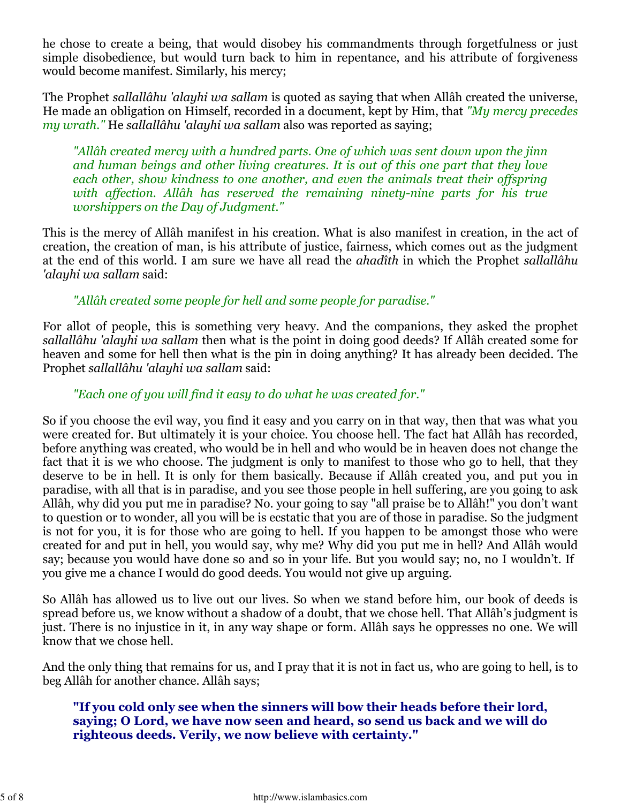he chose to create a being, that would disobey his commandments through forgetfulness or just simple disobedience, but would turn back to him in repentance, and his attribute of forgiveness would become manifest. Similarly, his mercy;

The Prophet sallallâhu 'alayhi wa sallam is quoted as saying that when Allâh created the universe, He made an obligation on Himself, recorded in a document, kept by Him, that "My mercy precedes my wrath." He sallallâhu 'alayhi wa sallam also was reported as saying;

"Allâh created mercy with a hundred parts. One of which was sent down upon the jinn and human beings and other living creatures. It is out of this one part that they love each other, show kindness to one another, and even the animals treat their offspring with affection. Allâh has reserved the remaining ninety-nine parts for his true worshippers on the Day of Judgment."

This is the mercy of Allâh manifest in his creation. What is also manifest in creation, in the act of creation, the creation of man, is his attribute of justice, fairness, which comes out as the judgment at the end of this world. I am sure we have all read the ahadîth in which the Prophet sallallâhu 'alayhi wa sallam said:

"Allâh created some people for hell and some people for paradise."

For allot of people, this is something very heavy. And the companions, they asked the prophet sallallâhu 'alayhi wa sallam then what is the point in doing good deeds? If Allâh created some for heaven and some for hell then what is the pin in doing anything? It has already been decided. The Prophet sallallâhu 'alayhi wa sallam said:

#### "Each one of you will find it easy to do what he was created for."

So if you choose the evil way, you find it easy and you carry on in that way, then that was what you were created for. But ultimately it is your choice. You choose hell. The fact hat Allâh has recorded, before anything was created, who would be in hell and who would be in heaven does not change the fact that it is we who choose. The judgment is only to manifest to those who go to hell, that they deserve to be in hell. It is only for them basically. Because if Allâh created you, and put you in paradise, with all that is in paradise, and you see those people in hell suffering, are you going to ask Allâh, why did you put me in paradise? No. your going to say "all praise be to Allâh!" you don't want to question or to wonder, all you will be is ecstatic that you are of those in paradise. So the judgment is not for you, it is for those who are going to hell. If you happen to be amongst those who were created for and put in hell, you would say, why me? Why did you put me in hell? And Allâh would say; because you would have done so and so in your life. But you would say; no, no I wouldn't. If you give me a chance I would do good deeds. You would not give up arguing.

So Allâh has allowed us to live out our lives. So when we stand before him, our book of deeds is spread before us, we know without a shadow of a doubt, that we chose hell. That Allâh's judgment is just. There is no injustice in it, in any way shape or form. Allâh says he oppresses no one. We will know that we chose hell.

And the only thing that remains for us, and I pray that it is not in fact us, who are going to hell, is to beg Allâh for another chance. Allâh says;

#### "If you cold only see when the sinners will bow their heads before their lord, saying; O Lord, we have now seen and heard, so send us back and we will do righteous deeds. Verily, we now believe with certainty."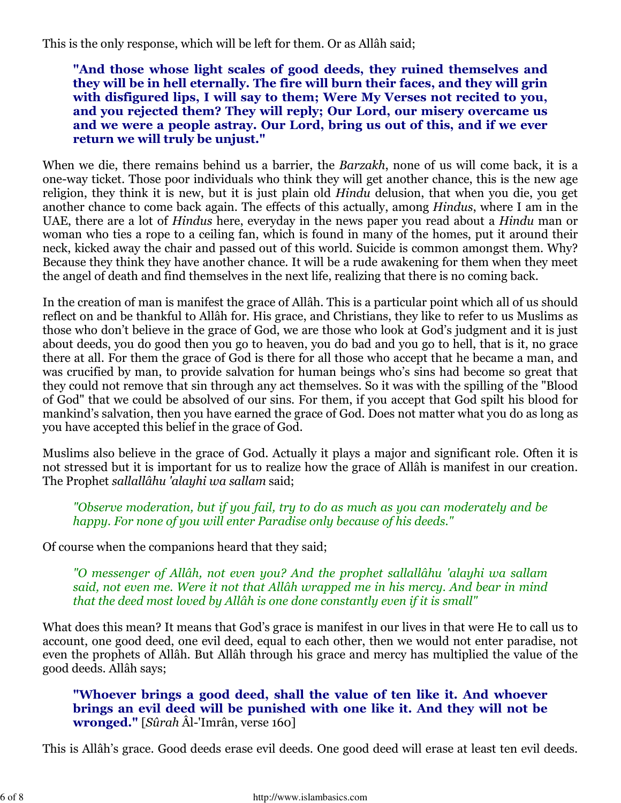This is the only response, which will be left for them. Or as Allâh said;

"And those whose light scales of good deeds, they ruined themselves and they will be in hell eternally. The fire will burn their faces, and they will grin with disfigured lips, I will say to them; Were My Verses not recited to you, and you rejected them? They will reply; Our Lord, our misery overcame us and we were a people astray. Our Lord, bring us out of this, and if we ever return we will truly be unjust."

When we die, there remains behind us a barrier, the *Barzakh*, none of us will come back, it is a one-way ticket. Those poor individuals who think they will get another chance, this is the new age religion, they think it is new, but it is just plain old Hindu delusion, that when you die, you get another chance to come back again. The effects of this actually, among Hindus, where I am in the UAE, there are a lot of Hindus here, everyday in the news paper you read about a Hindu man or woman who ties a rope to a ceiling fan, which is found in many of the homes, put it around their neck, kicked away the chair and passed out of this world. Suicide is common amongst them. Why? Because they think they have another chance. It will be a rude awakening for them when they meet the angel of death and find themselves in the next life, realizing that there is no coming back.

In the creation of man is manifest the grace of Allâh. This is a particular point which all of us should reflect on and be thankful to Allâh for. His grace, and Christians, they like to refer to us Muslims as those who don't believe in the grace of God, we are those who look at God's judgment and it is just about deeds, you do good then you go to heaven, you do bad and you go to hell, that is it, no grace there at all. For them the grace of God is there for all those who accept that he became a man, and was crucified by man, to provide salvation for human beings who's sins had become so great that they could not remove that sin through any act themselves. So it was with the spilling of the "Blood of God" that we could be absolved of our sins. For them, if you accept that God spilt his blood for mankind's salvation, then you have earned the grace of God. Does not matter what you do as long as you have accepted this belief in the grace of God.

Muslims also believe in the grace of God. Actually it plays a major and significant role. Often it is not stressed but it is important for us to realize how the grace of Allâh is manifest in our creation. The Prophet sallallâhu 'alayhi wa sallam said;

"Observe moderation, but if you fail, try to do as much as you can moderately and be happy. For none of you will enter Paradise only because of his deeds."

Of course when the companions heard that they said;

"O messenger of Allâh, not even you? And the prophet sallallâhu 'alayhi wa sallam said, not even me. Were it not that Allâh wrapped me in his mercy. And bear in mind that the deed most loved by Allâh is one done constantly even if it is small"

What does this mean? It means that God's grace is manifest in our lives in that were He to call us to account, one good deed, one evil deed, equal to each other, then we would not enter paradise, not even the prophets of Allâh. But Allâh through his grace and mercy has multiplied the value of the good deeds. Allâh says;

"Whoever brings a good deed, shall the value of ten like it. And whoever brings an evil deed will be punished with one like it. And they will not be wronged." [Sûrah Âl-'Imrân, verse 160]

This is Allâh's grace. Good deeds erase evil deeds. One good deed will erase at least ten evil deeds.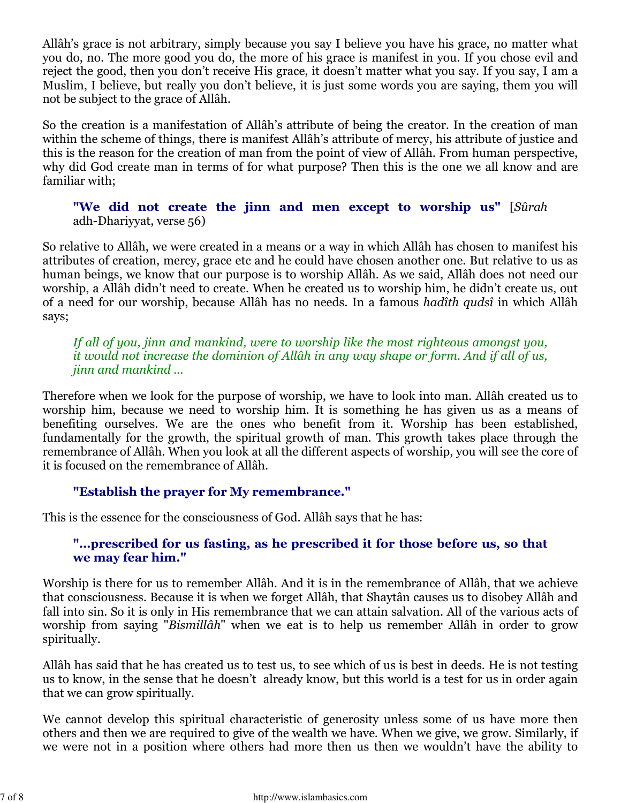Allâh's grace is not arbitrary, simply because you say I believe you have his grace, no matter what you do, no. The more good you do, the more of his grace is manifest in you. If you chose evil and reject the good, then you don't receive His grace, it doesn't matter what you say. If you say, I am a Muslim, I believe, but really you don't believe, it is just some words you are saying, them you will not be subject to the grace of Allâh.

So the creation is a manifestation of Allâh's attribute of being the creator. In the creation of man within the scheme of things, there is manifest Allâh's attribute of mercy, his attribute of justice and this is the reason for the creation of man from the point of view of Allâh. From human perspective, why did God create man in terms of for what purpose? Then this is the one we all know and are familiar with;

"We did not create the jinn and men except to worship us" [Sûrah adh-Dhariyyat, verse 56)

So relative to Allâh, we were created in a means or a way in which Allâh has chosen to manifest his attributes of creation, mercy, grace etc and he could have chosen another one. But relative to us as human beings, we know that our purpose is to worship Allâh. As we said, Allâh does not need our worship, a Allâh didn't need to create. When he created us to worship him, he didn't create us, out of a need for our worship, because Allâh has no needs. In a famous hadîth qudsî in which Allâh says;

If all of you, jinn and mankind, were to worship like the most righteous amongst you, it would not increase the dominion of Allâh in any way shape or form. And if all of us, jinn and mankind ...

Therefore when we look for the purpose of worship, we have to look into man. Allâh created us to worship him, because we need to worship him. It is something he has given us as a means of benefiting ourselves. We are the ones who benefit from it. Worship has been established, fundamentally for the growth, the spiritual growth of man. This growth takes place through the remembrance of Allâh. When you look at all the different aspects of worship, you will see the core of it is focused on the remembrance of Allâh.

# "Establish the prayer for My remembrance."

This is the essence for the consciousness of God. Allâh says that he has:

# "…prescribed for us fasting, as he prescribed it for those before us, so that we may fear him."

Worship is there for us to remember Allâh. And it is in the remembrance of Allâh, that we achieve that consciousness. Because it is when we forget Allâh, that Shaytân causes us to disobey Allâh and fall into sin. So it is only in His remembrance that we can attain salvation. All of the various acts of worship from saying "Bismillâh" when we eat is to help us remember Allâh in order to grow spiritually.

Allâh has said that he has created us to test us, to see which of us is best in deeds. He is not testing us to know, in the sense that he doesn't already know, but this world is a test for us in order again that we can grow spiritually.

We cannot develop this spiritual characteristic of generosity unless some of us have more then others and then we are required to give of the wealth we have. When we give, we grow. Similarly, if we were not in a position where others had more then us then we wouldn't have the ability to